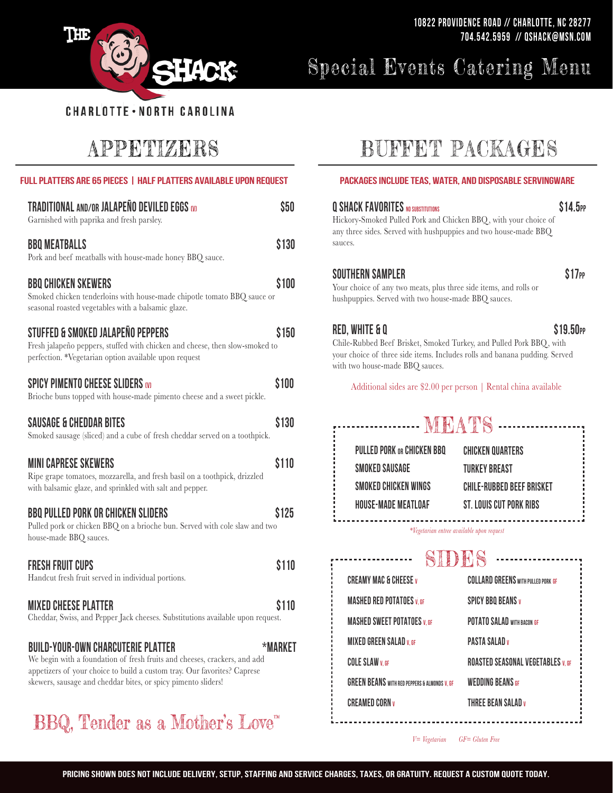

# Special Events Catering Menu

# APPETIZERS

| <b>FULL PLATTERS ARE 65 PIECES   HALF PLATTERS AVAILABLE UPON REQUEST</b>                                                                                                                                                                                           |              | PACKAGES INCLUDE TEAS, WATER, AND DISPOSABLE SERVINGWARE                                                                                                                                                                    |                                                                                                                 |
|---------------------------------------------------------------------------------------------------------------------------------------------------------------------------------------------------------------------------------------------------------------------|--------------|-----------------------------------------------------------------------------------------------------------------------------------------------------------------------------------------------------------------------------|-----------------------------------------------------------------------------------------------------------------|
| TRADITIONAL AND/OR JALAPEÑO DEVILED EGGS (V)<br>Garnished with paprika and fresh parsley.                                                                                                                                                                           | \$50         | <b>Q SHACK FAVORITES NO SUBSTITUTIONS</b><br>\$14.<br>Hickory-Smoked Pulled Pork and Chicken BBQ, with your choice of<br>any three sides. Served with hushpuppies and two house-made BBQ<br>sauces.                         |                                                                                                                 |
| <b>BBQ MEATBALLS</b><br>Pork and beef meatballs with house-made honey BBQ sauce.                                                                                                                                                                                    | \$130        |                                                                                                                                                                                                                             |                                                                                                                 |
| <b>BBQ CHICKEN SKEWERS</b><br>Smoked chicken tenderloins with house-made chipotle tomato BBQ sauce or<br>seasonal roasted vegetables with a balsamic glaze.                                                                                                         | \$100        | <b>SOUTHERN SAMPLER</b><br>Your choice of any two meats, plus three side items, and rolls or<br>hushpuppies. Served with two house-made BBQ sauces.                                                                         | \$1                                                                                                             |
| STUFFED & SMOKED JALAPEÑO PEPPERS<br>Fresh jalapeño peppers, stuffed with chicken and cheese, then slow-smoked to<br>perfection. *Vegetarian option available upon request                                                                                          | <b>\$150</b> | \$19.5<br><b>RED, WHITE &amp; Q</b><br>Chile-Rubbed Beef Brisket, Smoked Turkey, and Pulled Pork BBQ, with<br>your choice of three side items. Includes rolls and banana pudding. Served<br>with two house-made BBQ sauces. |                                                                                                                 |
| <b>SPICY PIMENTO CHEESE SLIDERS (V)</b><br>Brioche buns topped with house-made pimento cheese and a sweet pickle.                                                                                                                                                   | \$100        | Additional sides are \$2.00 per person   Rental china available                                                                                                                                                             |                                                                                                                 |
| <b>SAUSAGE &amp; CHEDDAR BITES</b><br>Smoked sausage (sliced) and a cube of fresh cheddar served on a toothpick.                                                                                                                                                    | \$130        | ------------- MEATS ------                                                                                                                                                                                                  |                                                                                                                 |
| <b>MINI CAPRESE SKEWERS</b><br>Ripe grape tomatoes, mozzarella, and fresh basil on a toothpick, drizzled<br>with balsamic glaze, and sprinkled with salt and pepper.                                                                                                | \$110        | <b>PULLED PORK OR CHICKEN BBQ</b><br><b>SMOKED SAUSAGE</b><br>SMOKED CHICKEN WINGS                                                                                                                                          | <b>CHICKEN QUARTERS</b><br><b>TURKEY BREAST</b><br><b>CHILE-RUBBED BEEF BRISKET</b>                             |
| <b>BBQ PULLED PORK OR CHICKEN SLIDERS</b><br>Pulled pork or chicken BBQ on a brioche bun. Served with cole slaw and two<br>house-made BBQ sauces.                                                                                                                   | \$125        | HOUSE-MADE MEATLOAF<br>ST. LOUIS CUT PORK RIBS<br>*Vegetarian entree available upon request                                                                                                                                 |                                                                                                                 |
| <b>FRESH FRUIT CUPS</b><br>Handcut fresh fruit served in individual portions.                                                                                                                                                                                       | \$110        | SIDES<br><b>CREAMY MAC &amp; CHEESE v</b>                                                                                                                                                                                   | <b>COLLARD GREENS WITH PULLED PORK GF</b>                                                                       |
| <b>MIXED CHEESE PLATTER</b><br>Cheddar, Swiss, and Pepper Jack cheeses. Substitutions available upon request.                                                                                                                                                       | \$110        | <b>MASHED RED POTATOES V, GF</b><br><b>MASHED SWEET POTATOES V. GF</b>                                                                                                                                                      | <b>SPICY BBQ BEANS v</b><br>POTATO SALAD WITH BACON GF                                                          |
| <b>BUILD-YOUR-OWN CHARCUTERIE PLATTER</b><br>We begin with a foundation of fresh fruits and cheeses, crackers, and add<br>appetizers of your choice to build a custom tray. Our favorites? Caprese<br>skewers, sausage and cheddar bites, or spicy pimento sliders! | *MARKET      | <b>MIXED GREEN SALAD v, GF</b><br><b>COLE SLAW V. GF</b><br><b>GREEN BEANS</b> WITH RED PEPPERS & ALMONDS V. GF<br>CREAMED CORN v                                                                                           | <b>PASTA SALAD</b> v<br><b>ROASTED SEASONAL VEGETABLES V. GF</b><br><b>WEDDING BEANS GF</b><br>THREE REAN SALAD |

# BBQ, Tender as a Mother's Love"

# BUFFET PACKAGES

| any three sides. Served with hushpuppies and two house-made BBQ<br>sauces.                                                                                                                                                  | \$14.5PP<br>Hickory-Smoked Pulled Pork and Chicken BBQ, with your choice of |
|-----------------------------------------------------------------------------------------------------------------------------------------------------------------------------------------------------------------------------|-----------------------------------------------------------------------------|
| Southern Sampler<br>Your choice of any two meats, plus three side items, and rolls or<br>hushpuppies. Served with two house-made BBQ sauces.                                                                                | \$17 <sub>PP</sub>                                                          |
| RED, WHITE & Q<br>Chile-Rubbed Beef Brisket, Smoked Turkey, and Pulled Pork BBQ, with<br>your choice of three side items. Includes rolls and banana pudding. Served<br>with two house-made BBQ sauces.                      | \$19.50 <sub>PP</sub>                                                       |
| Additional sides are \$2.00 per person   Rental china available                                                                                                                                                             |                                                                             |
| PULLED PORK OR CHICKEN BBQ<br><b>CHICKEN QUARTERS</b><br><b>TURKEY BREAST</b><br><b>SMOKED SAUSAGE</b><br>SMOKED CHICKEN WINGS<br><b>CHILE-RUBBED BEEF BRISKET</b><br>HOUSE-MADE MEATLOAF<br><b>ST. LOUIS CUT PORK RIBS</b> |                                                                             |
| *Vegetarian entree available upon request                                                                                                                                                                                   |                                                                             |
| <b>SIDES </b>                                                                                                                                                                                                               |                                                                             |
| <b>CREAMY MAC &amp; CHEESE v</b><br><b>COLLARD GREENS WITH PULLED PORK GF</b>                                                                                                                                               |                                                                             |
|                                                                                                                                                                                                                             |                                                                             |
| <b>MASHED RED POTATOES V. GF</b><br><b>SPICY BBQ BEANS v</b>                                                                                                                                                                |                                                                             |
| <b>MASHED SWEET POTATOES V. GF</b><br>POTATO SALAD WITH BACON GF                                                                                                                                                            |                                                                             |
| <b>MIXED GREEN SALAD v. GF</b><br><b>PASTA SALAD v</b>                                                                                                                                                                      |                                                                             |

GREEN BEANS with red peppers & almonds V, GF WEDDING BEANS GF CREAMED CORN <sup>V</sup>

*V= Vegetarian GF= Gluten Free*

THREE bean salad <sup>V</sup>